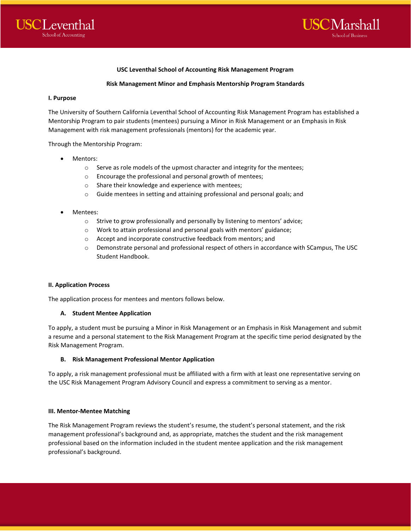

### **USC Leventhal School of Accounting Risk Management Program**

### **Risk Management Minor and Emphasis Mentorship Program Standards**

### **I. Purpose**

The University of Southern California Leventhal School of Accounting Risk Management Program has established a Mentorship Program to pair students (mentees) pursuing a Minor in Risk Management or an Emphasis in Risk Management with risk management professionals (mentors) for the academic year.

Through the Mentorship Program:

- Mentors:
	- $\circ$  Serve as role models of the upmost character and integrity for the mentees;
	- o Encourage the professional and personal growth of mentees;
	- o Share their knowledge and experience with mentees;
	- o Guide mentees in setting and attaining professional and personal goals; and
- Mentees:
	- o Strive to grow professionally and personally by listening to mentors' advice;
	- o Work to attain professional and personal goals with mentors' guidance;
	- o Accept and incorporate constructive feedback from mentors; and
	- o Demonstrate personal and professional respect of others in accordance with SCampus, The USC Student Handbook.

#### **II. Application Process**

The application process for mentees and mentors follows below.

#### **A. Student Mentee Application**

To apply, a student must be pursuing a Minor in Risk Management or an Emphasis in Risk Management and submit a resume and a personal statement to the Risk Management Program at the specific time period designated by the Risk Management Program.

### **B. Risk Management Professional Mentor Application**

To apply, a risk management professional must be affiliated with a firm with at least one representative serving on the USC Risk Management Program Advisory Council and express a commitment to serving as a mentor.

#### **III. Mentor-Mentee Matching**

The Risk Management Program reviews the student's resume, the student's personal statement, and the risk management professional's background and, as appropriate, matches the student and the risk management professional based on the information included in the student mentee application and the risk management professional's background.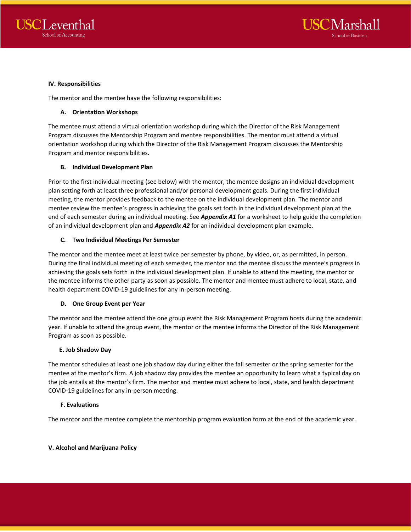



### **IV. Responsibilities**

The mentor and the mentee have the following responsibilities:

### **A. Orientation Workshops**

The mentee must attend a virtual orientation workshop during which the Director of the Risk Management Program discusses the Mentorship Program and mentee responsibilities. The mentor must attend a virtual orientation workshop during which the Director of the Risk Management Program discusses the Mentorship Program and mentor responsibilities.

### **B. Individual Development Plan**

Prior to the first individual meeting (see below) with the mentor, the mentee designs an individual development plan setting forth at least three professional and/or personal development goals. During the first individual meeting, the mentor provides feedback to the mentee on the individual development plan. The mentor and mentee review the mentee's progress in achieving the goals set forth in the individual development plan at the end of each semester during an individual meeting. See *Appendix A1* for a worksheet to help guide the completion of an individual development plan and *Appendix A2* for an individual development plan example.

## **C. Two Individual Meetings Per Semester**

The mentor and the mentee meet at least twice per semester by phone, by video, or, as permitted, in person. During the final individual meeting of each semester, the mentor and the mentee discuss the mentee's progress in achieving the goals sets forth in the individual development plan. If unable to attend the meeting, the mentor or the mentee informs the other party as soon as possible. The mentor and mentee must adhere to local, state, and health department COVID-19 guidelines for any in-person meeting.

### **D. One Group Event per Year**

The mentor and the mentee attend the one group event the Risk Management Program hosts during the academic year. If unable to attend the group event, the mentor or the mentee informs the Director of the Risk Management Program as soon as possible.

### **E. Job Shadow Day**

The mentor schedules at least one job shadow day during either the fall semester or the spring semester for the mentee at the mentor's firm. A job shadow day provides the mentee an opportunity to learn what a typical day on the job entails at the mentor's firm. The mentor and mentee must adhere to local, state, and health department COVID-19 guidelines for any in-person meeting.

### **F. Evaluations**

The mentor and the mentee complete the mentorship program evaluation form at the end of the academic year.

### **V. Alcohol and Marijuana Policy**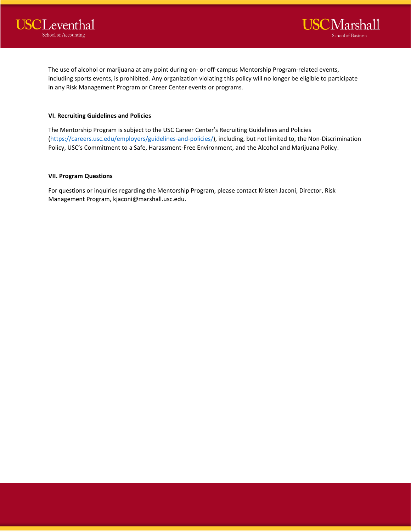



The use of alcohol or marijuana at any point during on- or off-campus Mentorship Program-related events, including sports events, is prohibited. Any organization violating this policy will no longer be eligible to participate in any Risk Management Program or Career Center events or programs.

## **VI. Recruiting Guidelines and Policies**

The Mentorship Program is subject to the USC Career Center's Recruiting Guidelines and Policies [\(https://careers.usc.edu/employers/guidelines-and-policies/\)](https://careers.usc.edu/employers/guidelines-and-policies/), including, but not limited to, the Non-Discrimination Policy, USC's Commitment to a Safe, Harassment-Free Environment, and the Alcohol and Marijuana Policy.

## **VII. Program Questions**

For questions or inquiries regarding the Mentorship Program, please contact Kristen Jaconi, Director, Risk Management Program, kjaconi@marshall.usc.edu.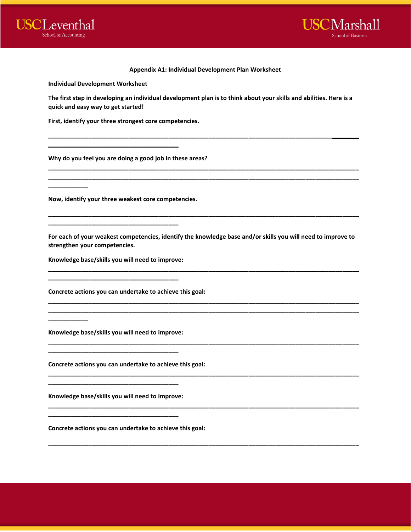

**\_\_\_\_\_\_\_\_\_\_\_\_**

**\_\_\_\_\_\_\_\_\_\_\_\_**



#### **Appendix A1: Individual Development Plan Worksheet**

**Individual Development Worksheet** 

**The first step in developing an individual development plan is to think about your skills and abilities. Here is a quick and easy way to get started!** 

**\_\_\_\_\_\_\_\_\_\_\_\_\_\_\_\_\_\_\_\_\_\_\_\_\_\_\_\_\_\_\_\_\_\_\_\_\_\_\_\_\_\_\_\_\_\_\_\_\_\_\_\_\_\_\_\_\_\_\_\_\_\_\_\_\_\_\_\_\_\_\_\_\_\_\_\_\_\_\_\_\_\_\_\_\_\_\_\_\_\_\_\_\_**

**\_\_\_\_\_\_\_\_\_\_\_\_\_\_\_\_\_\_\_\_\_\_\_\_\_\_\_\_\_\_\_\_\_\_\_\_\_\_\_\_\_\_\_\_\_\_\_\_\_\_\_\_\_\_\_\_\_\_\_\_\_\_\_\_\_\_\_\_\_\_\_\_\_\_\_\_\_\_\_\_\_\_\_\_\_\_\_\_\_\_\_\_\_ \_\_\_\_\_\_\_\_\_\_\_\_\_\_\_\_\_\_\_\_\_\_\_\_\_\_\_\_\_\_\_\_\_\_\_\_\_\_\_\_\_\_\_\_\_\_\_\_\_\_\_\_\_\_\_\_\_\_\_\_\_\_\_\_\_\_\_\_\_\_\_\_\_\_\_\_\_\_\_\_\_\_\_\_\_\_\_\_\_\_\_\_\_**

**First, identify your three strongest core competencies.** 

**\_\_\_\_\_\_\_\_\_\_\_\_\_\_\_\_\_\_\_\_\_\_\_\_\_\_\_\_\_\_\_\_\_\_\_\_\_\_\_**

**Why do you feel you are doing a good job in these areas?** 

**Now, identify your three weakest core competencies.** 

**For each of your weakest competencies, identify the knowledge base and/or skills you will need to improve to strengthen your competencies.** 

**\_\_\_\_\_\_\_\_\_\_\_\_\_\_\_\_\_\_\_\_\_\_\_\_\_\_\_\_\_\_\_\_\_\_\_\_\_\_\_\_\_\_\_\_\_\_\_\_\_\_\_\_\_\_\_\_\_\_\_\_\_\_\_\_\_\_\_\_\_\_\_\_\_\_\_\_\_\_\_\_\_\_\_\_\_\_\_\_\_\_\_\_\_**

**\_\_\_\_\_\_\_\_\_\_\_\_\_\_\_\_\_\_\_\_\_\_\_\_\_\_\_\_\_\_\_\_\_\_\_\_\_\_\_\_\_\_\_\_\_\_\_\_\_\_\_\_\_\_\_\_\_\_\_\_\_\_\_\_\_\_\_\_\_\_\_\_\_\_\_\_\_\_\_\_\_\_\_\_\_\_\_\_\_\_\_\_\_ \_\_\_\_\_\_\_\_\_\_\_\_\_\_\_\_\_\_\_\_\_\_\_\_\_\_\_\_\_\_\_\_\_\_\_\_\_\_\_\_\_\_\_\_\_\_\_\_\_\_\_\_\_\_\_\_\_\_\_\_\_\_\_\_\_\_\_\_\_\_\_\_\_\_\_\_\_\_\_\_\_\_\_\_\_\_\_\_\_\_\_\_\_**

**\_\_\_\_\_\_\_\_\_\_\_\_\_\_\_\_\_\_\_\_\_\_\_\_\_\_\_\_\_\_\_\_\_\_\_\_\_\_\_\_\_\_\_\_\_\_\_\_\_\_\_\_\_\_\_\_\_\_\_\_\_\_\_\_\_\_\_\_\_\_\_\_\_\_\_\_\_\_\_\_\_\_\_\_\_\_\_\_\_\_\_\_\_**

**\_\_\_\_\_\_\_\_\_\_\_\_\_\_\_\_\_\_\_\_\_\_\_\_\_\_\_\_\_\_\_\_\_\_\_\_\_\_\_\_\_\_\_\_\_\_\_\_\_\_\_\_\_\_\_\_\_\_\_\_\_\_\_\_\_\_\_\_\_\_\_\_\_\_\_\_\_\_\_\_\_\_\_\_\_\_\_\_\_\_\_\_\_**

**\_\_\_\_\_\_\_\_\_\_\_\_\_\_\_\_\_\_\_\_\_\_\_\_\_\_\_\_\_\_\_\_\_\_\_\_\_\_\_\_\_\_\_\_\_\_\_\_\_\_\_\_\_\_\_\_\_\_\_\_\_\_\_\_\_\_\_\_\_\_\_\_\_\_\_\_\_\_\_\_\_\_\_\_\_\_\_\_\_\_\_\_\_**

**\_\_\_\_\_\_\_\_\_\_\_\_\_\_\_\_\_\_\_\_\_\_\_\_\_\_\_\_\_\_\_\_\_\_\_\_\_\_\_\_\_\_\_\_\_\_\_\_\_\_\_\_\_\_\_\_\_\_\_\_\_\_\_\_\_\_\_\_\_\_\_\_\_\_\_\_\_\_\_\_\_\_\_\_\_\_\_\_\_\_\_\_\_**

**\_\_\_\_\_\_\_\_\_\_\_\_\_\_\_\_\_\_\_\_\_\_\_\_\_\_\_\_\_\_\_\_\_\_\_\_\_\_\_\_\_\_\_\_\_\_\_\_\_\_\_\_\_\_\_\_\_\_\_\_\_\_\_\_\_\_\_\_\_\_\_\_\_\_\_\_\_\_\_\_\_\_\_\_\_\_\_\_\_\_\_\_\_**

**Knowledge base/skills you will need to improve:** 

**\_\_\_\_\_\_\_\_\_\_\_\_\_\_\_\_\_\_\_\_\_\_\_\_\_\_\_\_\_\_\_\_\_\_\_\_\_\_\_**

**\_\_\_\_\_\_\_\_\_\_\_\_\_\_\_\_\_\_\_\_\_\_\_\_\_\_\_\_\_\_\_\_\_\_\_\_\_\_\_**

**Concrete actions you can undertake to achieve this goal:** 

**Knowledge base/skills you will need to improve:** 

**\_\_\_\_\_\_\_\_\_\_\_\_\_\_\_\_\_\_\_\_\_\_\_\_\_\_\_\_\_\_\_\_\_\_\_\_\_\_\_**

**Concrete actions you can undertake to achieve this goal:** 

**Knowledge base/skills you will need to improve:** 

**\_\_\_\_\_\_\_\_\_\_\_\_\_\_\_\_\_\_\_\_\_\_\_\_\_\_\_\_\_\_\_\_\_\_\_\_\_\_\_**

**\_\_\_\_\_\_\_\_\_\_\_\_\_\_\_\_\_\_\_\_\_\_\_\_\_\_\_\_\_\_\_\_\_\_\_\_\_\_\_** 

**Concrete actions you can undertake to achieve this goal:**